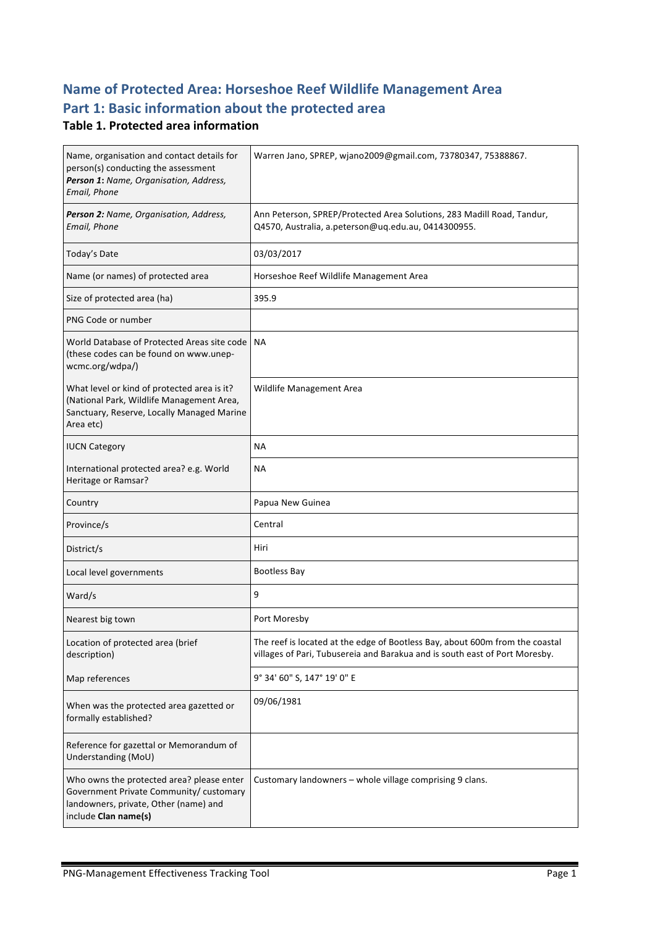## **Name of Protected Area: Horseshoe Reef Wildlife Management Area** Part 1: Basic information about the protected area

### **Table 1. Protected area information**

| Name, organisation and contact details for<br>person(s) conducting the assessment<br>Person 1: Name, Organisation, Address,<br>Email, Phone           | Warren Jano, SPREP, wjano2009@gmail.com, 73780347, 75388867.                                                                                                |
|-------------------------------------------------------------------------------------------------------------------------------------------------------|-------------------------------------------------------------------------------------------------------------------------------------------------------------|
| Person 2: Name, Organisation, Address,<br>Email, Phone                                                                                                | Ann Peterson, SPREP/Protected Area Solutions, 283 Madill Road, Tandur,<br>Q4570, Australia, a.peterson@uq.edu.au, 0414300955.                               |
| Today's Date                                                                                                                                          | 03/03/2017                                                                                                                                                  |
| Name (or names) of protected area                                                                                                                     | Horseshoe Reef Wildlife Management Area                                                                                                                     |
| Size of protected area (ha)                                                                                                                           | 395.9                                                                                                                                                       |
| PNG Code or number                                                                                                                                    |                                                                                                                                                             |
| World Database of Protected Areas site code   NA<br>(these codes can be found on www.unep-<br>wcmc.org/wdpa/)                                         |                                                                                                                                                             |
| What level or kind of protected area is it?<br>(National Park, Wildlife Management Area,<br>Sanctuary, Reserve, Locally Managed Marine<br>Area etc)   | Wildlife Management Area                                                                                                                                    |
| <b>IUCN Category</b>                                                                                                                                  | <b>NA</b>                                                                                                                                                   |
| International protected area? e.g. World<br>Heritage or Ramsar?                                                                                       | NА                                                                                                                                                          |
| Country                                                                                                                                               | Papua New Guinea                                                                                                                                            |
| Province/s                                                                                                                                            | Central                                                                                                                                                     |
| District/s                                                                                                                                            | Hiri                                                                                                                                                        |
| Local level governments                                                                                                                               | <b>Bootless Bay</b>                                                                                                                                         |
| Ward/s                                                                                                                                                | 9                                                                                                                                                           |
| Nearest big town                                                                                                                                      | Port Moresby                                                                                                                                                |
| Location of protected area (brief<br>description)                                                                                                     | The reef is located at the edge of Bootless Bay, about 600m from the coastal<br>villages of Pari, Tubusereia and Barakua and is south east of Port Moresby. |
| Map references                                                                                                                                        | 9° 34' 60" S, 147° 19' 0" E                                                                                                                                 |
| When was the protected area gazetted or<br>formally established?                                                                                      | 09/06/1981                                                                                                                                                  |
| Reference for gazettal or Memorandum of<br>Understanding (MoU)                                                                                        |                                                                                                                                                             |
| Who owns the protected area? please enter<br>Government Private Community/ customary<br>landowners, private, Other (name) and<br>include Clan name(s) | Customary landowners - whole village comprising 9 clans.                                                                                                    |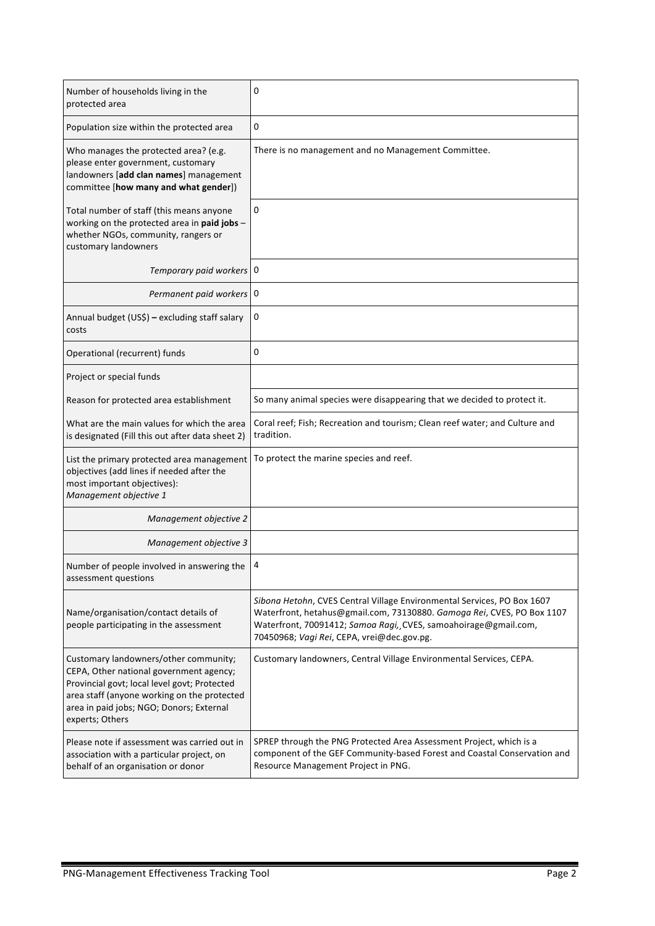| Number of households living in the<br>protected area                                                                                                                                                                                           | 0                                                                                                                                                                                                                                                                  |
|------------------------------------------------------------------------------------------------------------------------------------------------------------------------------------------------------------------------------------------------|--------------------------------------------------------------------------------------------------------------------------------------------------------------------------------------------------------------------------------------------------------------------|
| Population size within the protected area                                                                                                                                                                                                      | 0                                                                                                                                                                                                                                                                  |
| Who manages the protected area? (e.g.<br>please enter government, customary<br>landowners [add clan names] management<br>committee [how many and what gender])                                                                                 | There is no management and no Management Committee.                                                                                                                                                                                                                |
| Total number of staff (this means anyone<br>working on the protected area in paid jobs -<br>whether NGOs, community, rangers or<br>customary landowners                                                                                        | 0                                                                                                                                                                                                                                                                  |
| Temporary paid workers 0                                                                                                                                                                                                                       |                                                                                                                                                                                                                                                                    |
| Permanent paid workers 0                                                                                                                                                                                                                       |                                                                                                                                                                                                                                                                    |
| Annual budget (US\$) - excluding staff salary<br>costs                                                                                                                                                                                         | 0                                                                                                                                                                                                                                                                  |
| Operational (recurrent) funds                                                                                                                                                                                                                  | 0                                                                                                                                                                                                                                                                  |
| Project or special funds                                                                                                                                                                                                                       |                                                                                                                                                                                                                                                                    |
| Reason for protected area establishment                                                                                                                                                                                                        | So many animal species were disappearing that we decided to protect it.                                                                                                                                                                                            |
| What are the main values for which the area<br>is designated (Fill this out after data sheet 2)                                                                                                                                                | Coral reef; Fish; Recreation and tourism; Clean reef water; and Culture and<br>tradition.                                                                                                                                                                          |
| List the primary protected area management<br>objectives (add lines if needed after the<br>most important objectives):<br>Management objective 1                                                                                               | To protect the marine species and reef.                                                                                                                                                                                                                            |
| Management objective 2                                                                                                                                                                                                                         |                                                                                                                                                                                                                                                                    |
| Management objective 3                                                                                                                                                                                                                         |                                                                                                                                                                                                                                                                    |
| Number of people involved in answering the<br>assessment questions                                                                                                                                                                             | 4                                                                                                                                                                                                                                                                  |
| Name/organisation/contact details of<br>people participating in the assessment                                                                                                                                                                 | Sibona Hetohn, CVES Central Village Environmental Services, PO Box 1607<br>Waterfront, hetahus@gmail.com, 73130880. Gamoga Rei, CVES, PO Box 1107<br>Waterfront, 70091412; Samoa Ragi, CVES, samoahoirage@gmail.com,<br>70450968; Vagi Rei, CEPA, vrei@dec.gov.pg. |
| Customary landowners/other community;<br>CEPA, Other national government agency;<br>Provincial govt; local level govt; Protected<br>area staff (anyone working on the protected<br>area in paid jobs; NGO; Donors; External<br>experts; Others | Customary landowners, Central Village Environmental Services, CEPA.                                                                                                                                                                                                |
| Please note if assessment was carried out in<br>association with a particular project, on<br>behalf of an organisation or donor                                                                                                                | SPREP through the PNG Protected Area Assessment Project, which is a<br>component of the GEF Community-based Forest and Coastal Conservation and<br>Resource Management Project in PNG.                                                                             |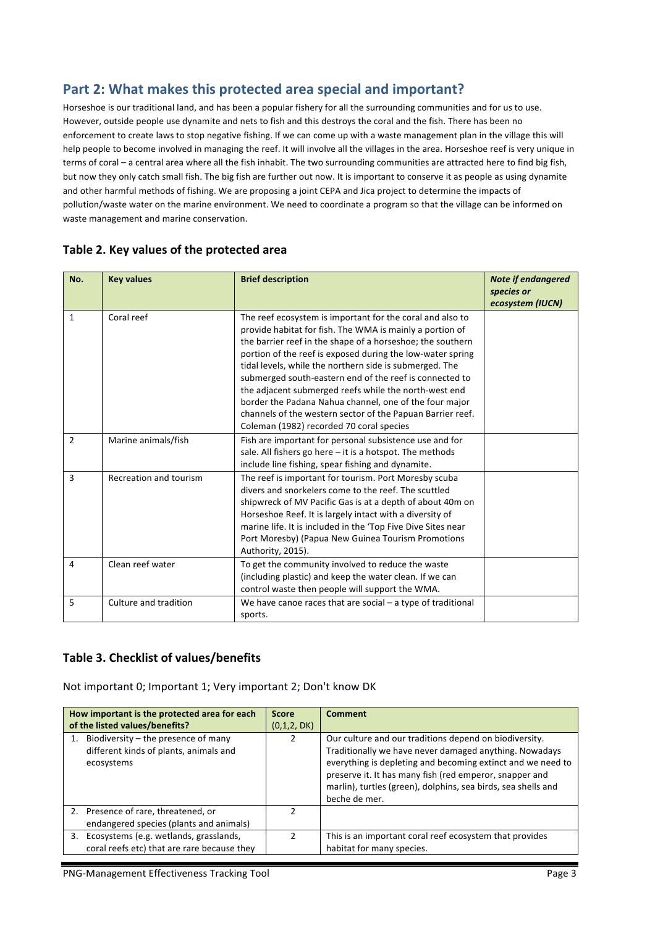## Part 2: What makes this protected area special and important?

Horseshoe is our traditional land, and has been a popular fishery for all the surrounding communities and for us to use. However, outside people use dynamite and nets to fish and this destroys the coral and the fish. There has been no enforcement to create laws to stop negative fishing. If we can come up with a waste management plan in the village this will help people to become involved in managing the reef. It will involve all the villages in the area. Horseshoe reef is very unique in terms of coral - a central area where all the fish inhabit. The two surrounding communities are attracted here to find big fish, but now they only catch small fish. The big fish are further out now. It is important to conserve it as people as using dynamite and other harmful methods of fishing. We are proposing a joint CEPA and Jica project to determine the impacts of pollution/waste water on the marine environment. We need to coordinate a program so that the village can be informed on waste management and marine conservation.

| No.            | <b>Key values</b>      | <b>Brief description</b>                                                                                                                                                                                                                                                                                                                                                                                                                                                                                                                                                                             | <b>Note if endangered</b><br>species or<br>ecosystem (IUCN) |
|----------------|------------------------|------------------------------------------------------------------------------------------------------------------------------------------------------------------------------------------------------------------------------------------------------------------------------------------------------------------------------------------------------------------------------------------------------------------------------------------------------------------------------------------------------------------------------------------------------------------------------------------------------|-------------------------------------------------------------|
| $\mathbf{1}$   | Coral reef             | The reef ecosystem is important for the coral and also to<br>provide habitat for fish. The WMA is mainly a portion of<br>the barrier reef in the shape of a horseshoe; the southern<br>portion of the reef is exposed during the low-water spring<br>tidal levels, while the northern side is submerged. The<br>submerged south-eastern end of the reef is connected to<br>the adjacent submerged reefs while the north-west end<br>border the Padana Nahua channel, one of the four major<br>channels of the western sector of the Papuan Barrier reef.<br>Coleman (1982) recorded 70 coral species |                                                             |
| $\overline{2}$ | Marine animals/fish    | Fish are important for personal subsistence use and for<br>sale. All fishers go here $-$ it is a hotspot. The methods<br>include line fishing, spear fishing and dynamite.                                                                                                                                                                                                                                                                                                                                                                                                                           |                                                             |
| 3              | Recreation and tourism | The reef is important for tourism. Port Moresby scuba<br>divers and snorkelers come to the reef. The scuttled<br>shipwreck of MV Pacific Gas is at a depth of about 40m on<br>Horseshoe Reef. It is largely intact with a diversity of<br>marine life. It is included in the 'Top Five Dive Sites near<br>Port Moresby) (Papua New Guinea Tourism Promotions<br>Authority, 2015).                                                                                                                                                                                                                    |                                                             |
| 4              | Clean reef water       | To get the community involved to reduce the waste<br>(including plastic) and keep the water clean. If we can<br>control waste then people will support the WMA.                                                                                                                                                                                                                                                                                                                                                                                                                                      |                                                             |
| 5              | Culture and tradition  | We have canoe races that are social $-$ a type of traditional<br>sports.                                                                                                                                                                                                                                                                                                                                                                                                                                                                                                                             |                                                             |

### Table 2. Key values of the protected area

### Table 3. Checklist of values/benefits

Not important 0; Important 1; Very important 2; Don't know DK

|    | How important is the protected area for each<br>of the listed values/benefits?              | <b>Score</b><br>(0,1,2, DK) | <b>Comment</b>                                                                                                                                                                                                                                                                                                               |
|----|---------------------------------------------------------------------------------------------|-----------------------------|------------------------------------------------------------------------------------------------------------------------------------------------------------------------------------------------------------------------------------------------------------------------------------------------------------------------------|
|    | Biodiversity – the presence of many<br>different kinds of plants, animals and<br>ecosystems |                             | Our culture and our traditions depend on biodiversity.<br>Traditionally we have never damaged anything. Nowadays<br>everything is depleting and becoming extinct and we need to<br>preserve it. It has many fish (red emperor, snapper and<br>marlin), turtles (green), dolphins, sea birds, sea shells and<br>beche de mer. |
|    | 2. Presence of rare, threatened, or<br>endangered species (plants and animals)              |                             |                                                                                                                                                                                                                                                                                                                              |
| 3. | Ecosystems (e.g. wetlands, grasslands,<br>coral reefs etc) that are rare because they       |                             | This is an important coral reef ecosystem that provides<br>habitat for many species.                                                                                                                                                                                                                                         |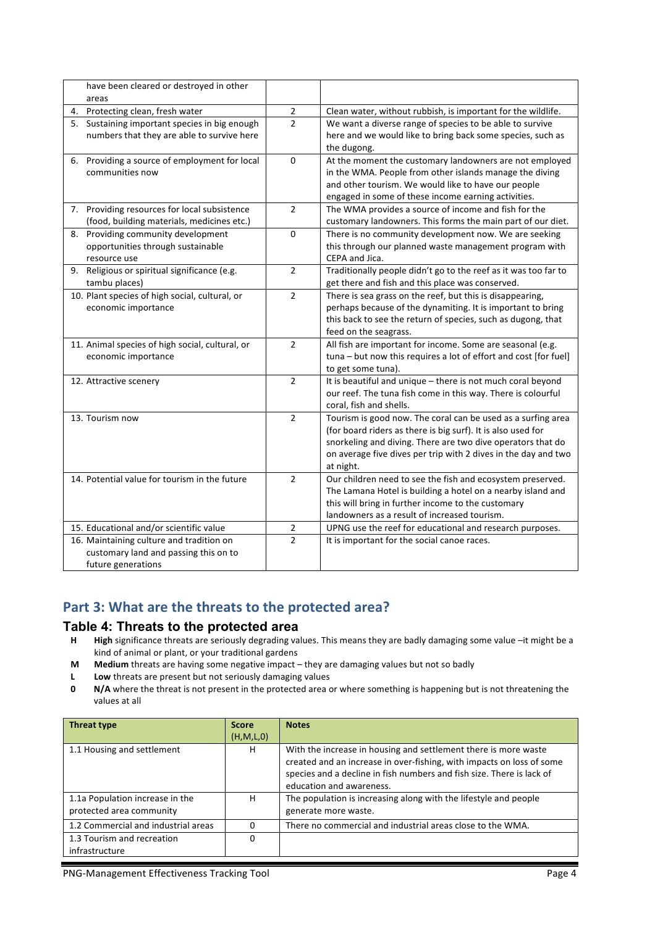| have been cleared or destroyed in other                                                                 |                |                                                                                                                                                                                                                                                                            |
|---------------------------------------------------------------------------------------------------------|----------------|----------------------------------------------------------------------------------------------------------------------------------------------------------------------------------------------------------------------------------------------------------------------------|
| areas                                                                                                   |                |                                                                                                                                                                                                                                                                            |
| 4. Protecting clean, fresh water                                                                        | $\overline{2}$ | Clean water, without rubbish, is important for the wildlife.                                                                                                                                                                                                               |
| 5. Sustaining important species in big enough<br>numbers that they are able to survive here             | $\overline{2}$ | We want a diverse range of species to be able to survive<br>here and we would like to bring back some species, such as<br>the dugong.                                                                                                                                      |
| 6. Providing a source of employment for local<br>communities now                                        | $\mathbf 0$    | At the moment the customary landowners are not employed<br>in the WMA. People from other islands manage the diving<br>and other tourism. We would like to have our people<br>engaged in some of these income earning activities.                                           |
| 7. Providing resources for local subsistence<br>(food, building materials, medicines etc.)              | $\overline{2}$ | The WMA provides a source of income and fish for the<br>customary landowners. This forms the main part of our diet.                                                                                                                                                        |
| Providing community development<br>8.<br>opportunities through sustainable<br>resource use              | $\Omega$       | There is no community development now. We are seeking<br>this through our planned waste management program with<br>CEPA and Jica.                                                                                                                                          |
| 9. Religious or spiritual significance (e.g.<br>tambu places)                                           | $\overline{2}$ | Traditionally people didn't go to the reef as it was too far to<br>get there and fish and this place was conserved.                                                                                                                                                        |
| 10. Plant species of high social, cultural, or<br>economic importance                                   | $\overline{2}$ | There is sea grass on the reef, but this is disappearing,<br>perhaps because of the dynamiting. It is important to bring<br>this back to see the return of species, such as dugong, that<br>feed on the seagrass.                                                          |
| 11. Animal species of high social, cultural, or<br>economic importance                                  | $\overline{2}$ | All fish are important for income. Some are seasonal (e.g.<br>tuna - but now this requires a lot of effort and cost [for fuel]<br>to get some tuna).                                                                                                                       |
| 12. Attractive scenery                                                                                  | $\overline{2}$ | It is beautiful and unique - there is not much coral beyond<br>our reef. The tuna fish come in this way. There is colourful<br>coral, fish and shells.                                                                                                                     |
| 13. Tourism now                                                                                         | $\overline{2}$ | Tourism is good now. The coral can be used as a surfing area<br>(for board riders as there is big surf). It is also used for<br>snorkeling and diving. There are two dive operators that do<br>on average five dives per trip with 2 dives in the day and two<br>at night. |
| 14. Potential value for tourism in the future                                                           | $\overline{2}$ | Our children need to see the fish and ecosystem preserved.<br>The Lamana Hotel is building a hotel on a nearby island and<br>this will bring in further income to the customary<br>landowners as a result of increased tourism.                                            |
| 15. Educational and/or scientific value                                                                 | $\mathbf 2$    | UPNG use the reef for educational and research purposes.                                                                                                                                                                                                                   |
| 16. Maintaining culture and tradition on<br>customary land and passing this on to<br>future generations | $\overline{2}$ | It is important for the social canoe races.                                                                                                                                                                                                                                |

## Part 3: What are the threats to the protected area?

### **Table 4: Threats to the protected area**

- H **High** significance threats are seriously degrading values. This means they are badly damaging some value -it might be a kind of animal or plant, or your traditional gardens
- **M** Medium threats are having some negative impact they are damaging values but not so badly
- **L Low** threats are present but not seriously damaging values
- **0 N/A** where the threat is not present in the protected area or where something is happening but is not threatening the values at all

| <b>Threat type</b>                  | <b>Score</b> | <b>Notes</b>                                                          |
|-------------------------------------|--------------|-----------------------------------------------------------------------|
|                                     | (H, M, L, 0) |                                                                       |
| 1.1 Housing and settlement          | н            | With the increase in housing and settlement there is more waste       |
|                                     |              | created and an increase in over-fishing, with impacts on loss of some |
|                                     |              | species and a decline in fish numbers and fish size. There is lack of |
|                                     |              | education and awareness.                                              |
| 1.1a Population increase in the     | н            | The population is increasing along with the lifestyle and people      |
| protected area community            |              | generate more waste.                                                  |
| 1.2 Commercial and industrial areas |              | There no commercial and industrial areas close to the WMA.            |
| 1.3 Tourism and recreation          |              |                                                                       |
| infrastructure                      |              |                                                                       |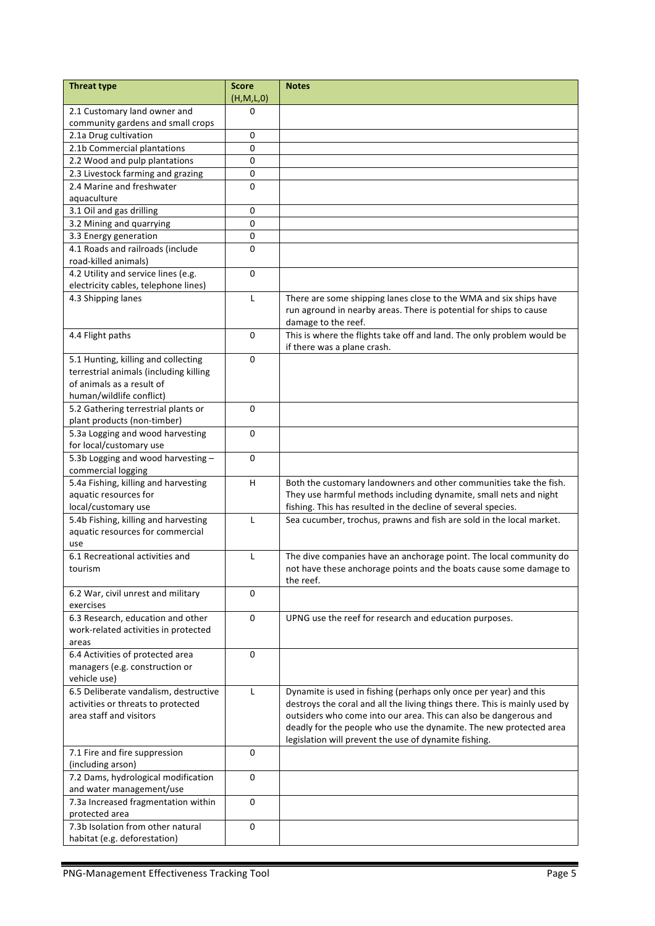| <b>Threat type</b>                                                          | <b>Score</b><br>(H,M,L,0) | <b>Notes</b>                                                               |
|-----------------------------------------------------------------------------|---------------------------|----------------------------------------------------------------------------|
| 2.1 Customary land owner and                                                | 0                         |                                                                            |
| community gardens and small crops                                           |                           |                                                                            |
| 2.1a Drug cultivation                                                       | 0                         |                                                                            |
| 2.1b Commercial plantations                                                 | 0                         |                                                                            |
| 2.2 Wood and pulp plantations                                               | 0                         |                                                                            |
| 2.3 Livestock farming and grazing                                           | 0                         |                                                                            |
| 2.4 Marine and freshwater                                                   | 0                         |                                                                            |
| aquaculture                                                                 |                           |                                                                            |
| 3.1 Oil and gas drilling                                                    | 0                         |                                                                            |
| 3.2 Mining and quarrying                                                    | 0                         |                                                                            |
| 3.3 Energy generation                                                       | 0                         |                                                                            |
| 4.1 Roads and railroads (include                                            | 0                         |                                                                            |
| road-killed animals)                                                        |                           |                                                                            |
| 4.2 Utility and service lines (e.g.<br>electricity cables, telephone lines) | 0                         |                                                                            |
| 4.3 Shipping lanes                                                          | L                         | There are some shipping lanes close to the WMA and six ships have          |
|                                                                             |                           | run aground in nearby areas. There is potential for ships to cause         |
|                                                                             |                           | damage to the reef.                                                        |
| 4.4 Flight paths                                                            | $\Omega$                  | This is where the flights take off and land. The only problem would be     |
|                                                                             |                           | if there was a plane crash.                                                |
| 5.1 Hunting, killing and collecting                                         | 0                         |                                                                            |
| terrestrial animals (including killing                                      |                           |                                                                            |
| of animals as a result of                                                   |                           |                                                                            |
| human/wildlife conflict)                                                    |                           |                                                                            |
| 5.2 Gathering terrestrial plants or                                         | $\mathbf 0$               |                                                                            |
| plant products (non-timber)                                                 |                           |                                                                            |
| 5.3a Logging and wood harvesting                                            | 0                         |                                                                            |
| for local/customary use                                                     |                           |                                                                            |
| 5.3b Logging and wood harvesting-                                           | $\mathbf 0$               |                                                                            |
| commercial logging                                                          |                           |                                                                            |
| 5.4a Fishing, killing and harvesting                                        | H                         | Both the customary landowners and other communities take the fish.         |
| aquatic resources for                                                       |                           | They use harmful methods including dynamite, small nets and night          |
| local/customary use                                                         |                           | fishing. This has resulted in the decline of several species.              |
| 5.4b Fishing, killing and harvesting                                        | L                         | Sea cucumber, trochus, prawns and fish are sold in the local market.       |
| aquatic resources for commercial                                            |                           |                                                                            |
| use                                                                         |                           |                                                                            |
| 6.1 Recreational activities and                                             | L                         | The dive companies have an anchorage point. The local community do         |
| tourism                                                                     |                           | not have these anchorage points and the boats cause some damage to         |
|                                                                             |                           | the reef.                                                                  |
| 6.2 War, civil unrest and military                                          | 0                         |                                                                            |
| exercises<br>6.3 Research, education and other                              | 0                         | UPNG use the reef for research and education purposes.                     |
| work-related activities in protected                                        |                           |                                                                            |
| areas                                                                       |                           |                                                                            |
| 6.4 Activities of protected area                                            | 0                         |                                                                            |
| managers (e.g. construction or                                              |                           |                                                                            |
| vehicle use)                                                                |                           |                                                                            |
| 6.5 Deliberate vandalism, destructive                                       | $\mathsf{L}$              | Dynamite is used in fishing (perhaps only once per year) and this          |
| activities or threats to protected                                          |                           | destroys the coral and all the living things there. This is mainly used by |
| area staff and visitors                                                     |                           | outsiders who come into our area. This can also be dangerous and           |
|                                                                             |                           | deadly for the people who use the dynamite. The new protected area         |
|                                                                             |                           | legislation will prevent the use of dynamite fishing.                      |
| 7.1 Fire and fire suppression                                               | 0                         |                                                                            |
| (including arson)                                                           |                           |                                                                            |
| 7.2 Dams, hydrological modification                                         | $\mathbf 0$               |                                                                            |
| and water management/use                                                    |                           |                                                                            |
| 7.3a Increased fragmentation within                                         | $\mathbf 0$               |                                                                            |
| protected area                                                              |                           |                                                                            |
| 7.3b Isolation from other natural                                           | 0                         |                                                                            |
| habitat (e.g. deforestation)                                                |                           |                                                                            |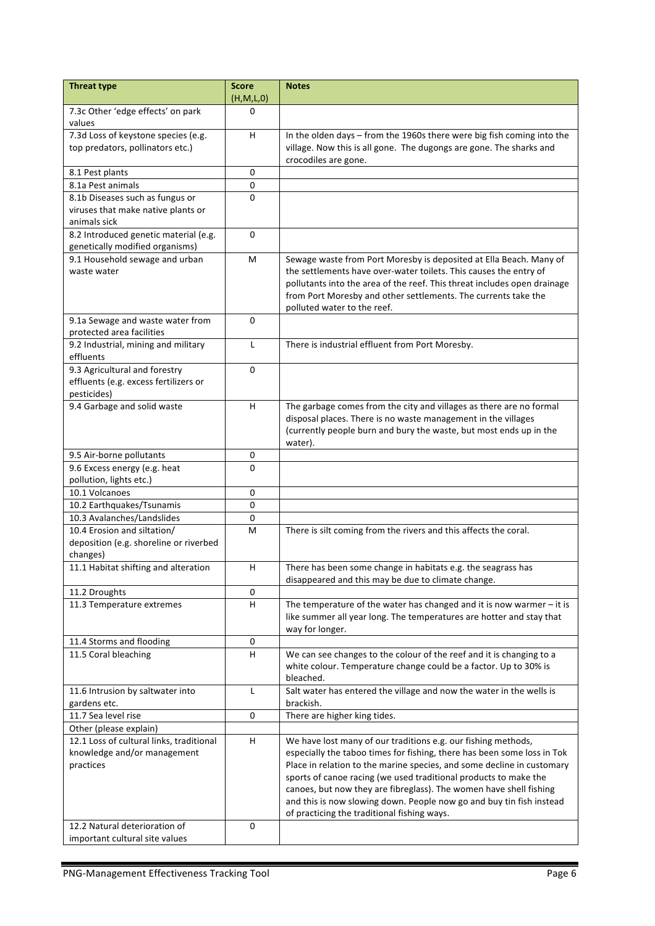| <b>Threat type</b>                                                | <b>Score</b><br>(H,M,L,0) | <b>Notes</b>                                                                                                                               |
|-------------------------------------------------------------------|---------------------------|--------------------------------------------------------------------------------------------------------------------------------------------|
| 7.3c Other 'edge effects' on park                                 | $\Omega$                  |                                                                                                                                            |
| values                                                            |                           |                                                                                                                                            |
| 7.3d Loss of keystone species (e.g.                               | H.                        | In the olden days - from the 1960s there were big fish coming into the                                                                     |
| top predators, pollinators etc.)                                  |                           | village. Now this is all gone. The dugongs are gone. The sharks and                                                                        |
|                                                                   |                           | crocodiles are gone.                                                                                                                       |
| 8.1 Pest plants                                                   | 0                         |                                                                                                                                            |
| 8.1a Pest animals                                                 | $\pmb{0}$                 |                                                                                                                                            |
| 8.1b Diseases such as fungus or                                   | 0                         |                                                                                                                                            |
| viruses that make native plants or                                |                           |                                                                                                                                            |
| animals sick                                                      |                           |                                                                                                                                            |
| 8.2 Introduced genetic material (e.g.                             | $\Omega$                  |                                                                                                                                            |
| genetically modified organisms)<br>9.1 Household sewage and urban | М                         |                                                                                                                                            |
| waste water                                                       |                           | Sewage waste from Port Moresby is deposited at Ella Beach. Many of<br>the settlements have over-water toilets. This causes the entry of    |
|                                                                   |                           | pollutants into the area of the reef. This threat includes open drainage                                                                   |
|                                                                   |                           | from Port Moresby and other settlements. The currents take the                                                                             |
|                                                                   |                           | polluted water to the reef.                                                                                                                |
| 9.1a Sewage and waste water from                                  | $\Omega$                  |                                                                                                                                            |
| protected area facilities                                         |                           |                                                                                                                                            |
| 9.2 Industrial, mining and military                               | L                         | There is industrial effluent from Port Moresby.                                                                                            |
| effluents                                                         |                           |                                                                                                                                            |
| 9.3 Agricultural and forestry                                     | $\Omega$                  |                                                                                                                                            |
| effluents (e.g. excess fertilizers or                             |                           |                                                                                                                                            |
| pesticides)                                                       |                           |                                                                                                                                            |
| 9.4 Garbage and solid waste                                       | H.                        | The garbage comes from the city and villages as there are no formal                                                                        |
|                                                                   |                           | disposal places. There is no waste management in the villages                                                                              |
|                                                                   |                           | (currently people burn and bury the waste, but most ends up in the                                                                         |
|                                                                   |                           | water).                                                                                                                                    |
| 9.5 Air-borne pollutants                                          | 0                         |                                                                                                                                            |
| 9.6 Excess energy (e.g. heat                                      | $\Omega$                  |                                                                                                                                            |
| pollution, lights etc.)<br>10.1 Volcanoes                         | 0                         |                                                                                                                                            |
|                                                                   | $\mathbf 0$               |                                                                                                                                            |
| 10.2 Earthquakes/Tsunamis<br>10.3 Avalanches/Landslides           | 0                         |                                                                                                                                            |
| 10.4 Erosion and siltation/                                       | м                         |                                                                                                                                            |
| deposition (e.g. shoreline or riverbed                            |                           | There is silt coming from the rivers and this affects the coral.                                                                           |
| changes)                                                          |                           |                                                                                                                                            |
| 11.1 Habitat shifting and alteration                              | H.                        | There has been some change in habitats e.g. the seagrass has                                                                               |
|                                                                   |                           | disappeared and this may be due to climate change.                                                                                         |
| 11.2 Droughts                                                     | 0                         |                                                                                                                                            |
| 11.3 Temperature extremes                                         | н                         | The temperature of the water has changed and it is now warmer $-$ it is                                                                    |
|                                                                   |                           | like summer all year long. The temperatures are hotter and stay that                                                                       |
|                                                                   |                           | way for longer.                                                                                                                            |
| 11.4 Storms and flooding                                          | 0                         |                                                                                                                                            |
| 11.5 Coral bleaching                                              | H.                        | We can see changes to the colour of the reef and it is changing to a                                                                       |
|                                                                   |                           | white colour. Temperature change could be a factor. Up to 30% is                                                                           |
|                                                                   |                           | bleached.                                                                                                                                  |
| 11.6 Intrusion by saltwater into                                  | L                         | Salt water has entered the village and now the water in the wells is                                                                       |
| gardens etc.                                                      |                           | brackish.                                                                                                                                  |
| 11.7 Sea level rise                                               | 0                         | There are higher king tides.                                                                                                               |
| Other (please explain)                                            |                           |                                                                                                                                            |
| 12.1 Loss of cultural links, traditional                          | H                         | We have lost many of our traditions e.g. our fishing methods,                                                                              |
| knowledge and/or management                                       |                           | especially the taboo times for fishing, there has been some loss in Tok                                                                    |
| practices                                                         |                           | Place in relation to the marine species, and some decline in customary<br>sports of canoe racing (we used traditional products to make the |
|                                                                   |                           | canoes, but now they are fibreglass). The women have shell fishing                                                                         |
|                                                                   |                           | and this is now slowing down. People now go and buy tin fish instead                                                                       |
|                                                                   |                           | of practicing the traditional fishing ways.                                                                                                |
| 12.2 Natural deterioration of                                     | 0                         |                                                                                                                                            |
| important cultural site values                                    |                           |                                                                                                                                            |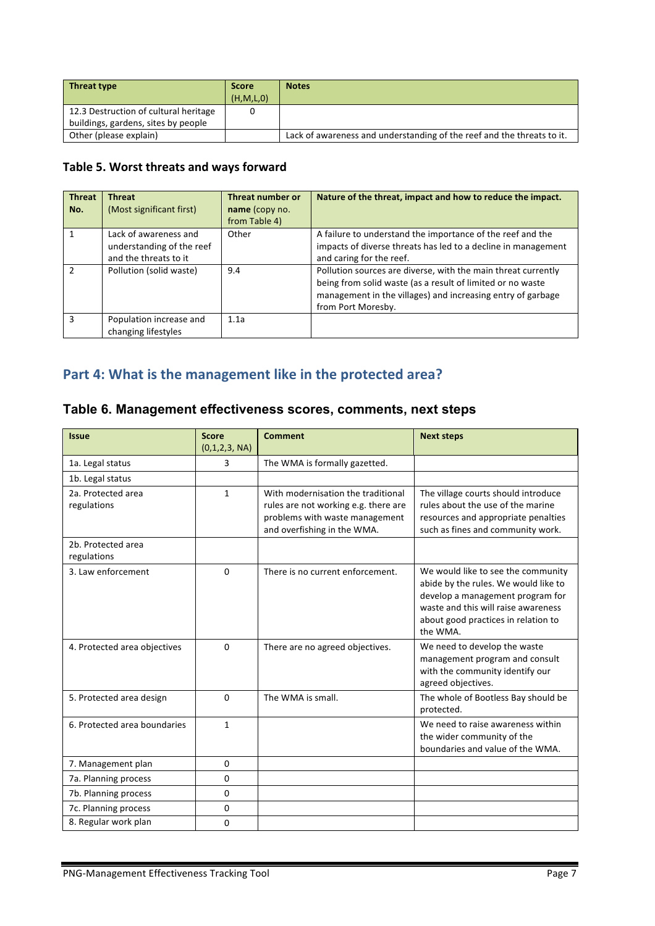| <b>Threat type</b>                    | <b>Score</b> | <b>Notes</b>                                                           |
|---------------------------------------|--------------|------------------------------------------------------------------------|
|                                       | (H, M, L, 0) |                                                                        |
| 12.3 Destruction of cultural heritage |              |                                                                        |
| buildings, gardens, sites by people   |              |                                                                        |
| Other (please explain)                |              | Lack of awareness and understanding of the reef and the threats to it. |

### Table 5. Worst threats and ways forward

| <b>Threat</b><br>No. | <b>Threat</b><br>(Most significant first)                                   | Threat number or<br>name (copy no.<br>from Table 4) | Nature of the threat, impact and how to reduce the impact.                                                                                                                                                       |
|----------------------|-----------------------------------------------------------------------------|-----------------------------------------------------|------------------------------------------------------------------------------------------------------------------------------------------------------------------------------------------------------------------|
|                      | Lack of awareness and<br>understanding of the reef<br>and the threats to it | Other                                               | A failure to understand the importance of the reef and the<br>impacts of diverse threats has led to a decline in management<br>and caring for the reef.                                                          |
| $\mathfrak{p}$       | Pollution (solid waste)                                                     | 9.4                                                 | Pollution sources are diverse, with the main threat currently<br>being from solid waste (as a result of limited or no waste<br>management in the villages) and increasing entry of garbage<br>from Port Moresby. |
| 3                    | Population increase and<br>changing lifestyles                              | 1.1a                                                |                                                                                                                                                                                                                  |

# Part 4: What is the management like in the protected area?

## **Table 6. Management effectiveness scores, comments, next steps**

| <b>Issue</b>                      | <b>Score</b><br>(0,1,2,3, NA) | <b>Comment</b>                                                                                                                              | <b>Next steps</b>                                                                                                                                                                                        |
|-----------------------------------|-------------------------------|---------------------------------------------------------------------------------------------------------------------------------------------|----------------------------------------------------------------------------------------------------------------------------------------------------------------------------------------------------------|
| 1a. Legal status                  | 3.                            | The WMA is formally gazetted.                                                                                                               |                                                                                                                                                                                                          |
| 1b. Legal status                  |                               |                                                                                                                                             |                                                                                                                                                                                                          |
| 2a. Protected area<br>regulations | $\mathbf{1}$                  | With modernisation the traditional<br>rules are not working e.g. there are<br>problems with waste management<br>and overfishing in the WMA. | The village courts should introduce<br>rules about the use of the marine<br>resources and appropriate penalties<br>such as fines and community work.                                                     |
| 2b. Protected area<br>regulations |                               |                                                                                                                                             |                                                                                                                                                                                                          |
| 3. Law enforcement                | $\Omega$                      | There is no current enforcement.                                                                                                            | We would like to see the community<br>abide by the rules. We would like to<br>develop a management program for<br>waste and this will raise awareness<br>about good practices in relation to<br>the WMA. |
| 4. Protected area objectives      | 0                             | There are no agreed objectives.                                                                                                             | We need to develop the waste<br>management program and consult<br>with the community identify our<br>agreed objectives.                                                                                  |
| 5. Protected area design          | $\Omega$                      | The WMA is small.                                                                                                                           | The whole of Bootless Bay should be<br>protected.                                                                                                                                                        |
| 6. Protected area boundaries      | $\mathbf{1}$                  |                                                                                                                                             | We need to raise awareness within<br>the wider community of the<br>boundaries and value of the WMA.                                                                                                      |
| 7. Management plan                | $\Omega$                      |                                                                                                                                             |                                                                                                                                                                                                          |
| 7a. Planning process              | 0                             |                                                                                                                                             |                                                                                                                                                                                                          |
| 7b. Planning process              | $\Omega$                      |                                                                                                                                             |                                                                                                                                                                                                          |
| 7c. Planning process              | 0                             |                                                                                                                                             |                                                                                                                                                                                                          |
| 8. Regular work plan              | $\Omega$                      |                                                                                                                                             |                                                                                                                                                                                                          |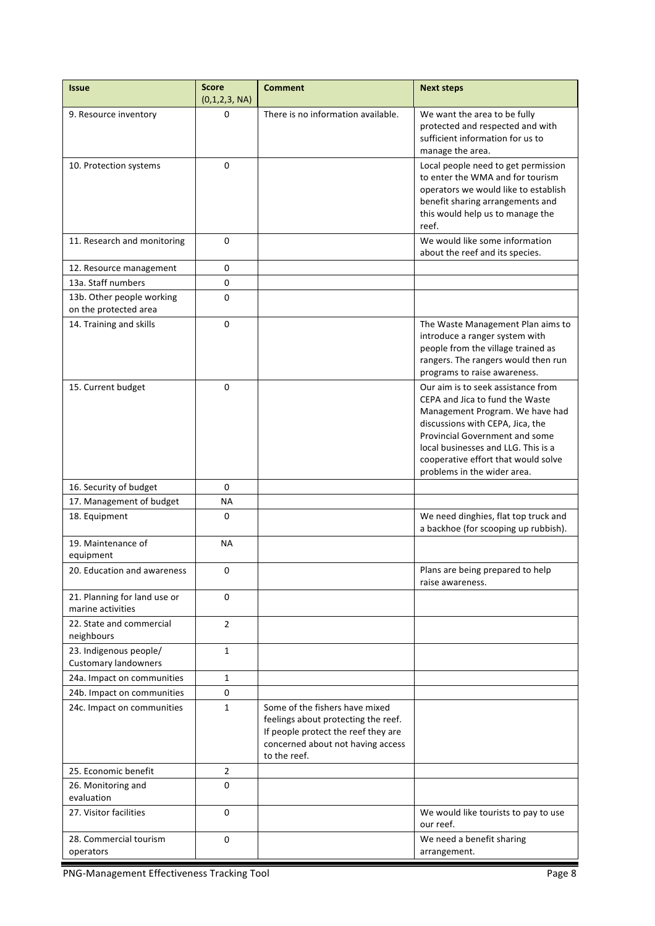| <b>Issue</b>                                          | <b>Score</b><br>(0,1,2,3, NA) | <b>Comment</b>                                                                                                                                                    | <b>Next steps</b>                                                                                                                                                                                                                                                                                  |
|-------------------------------------------------------|-------------------------------|-------------------------------------------------------------------------------------------------------------------------------------------------------------------|----------------------------------------------------------------------------------------------------------------------------------------------------------------------------------------------------------------------------------------------------------------------------------------------------|
| 9. Resource inventory                                 | 0                             | There is no information available.                                                                                                                                | We want the area to be fully<br>protected and respected and with<br>sufficient information for us to<br>manage the area.                                                                                                                                                                           |
| 10. Protection systems                                | $\Omega$                      |                                                                                                                                                                   | Local people need to get permission<br>to enter the WMA and for tourism<br>operators we would like to establish<br>benefit sharing arrangements and<br>this would help us to manage the<br>reef.                                                                                                   |
| 11. Research and monitoring                           | 0                             |                                                                                                                                                                   | We would like some information<br>about the reef and its species.                                                                                                                                                                                                                                  |
| 12. Resource management                               | 0                             |                                                                                                                                                                   |                                                                                                                                                                                                                                                                                                    |
| 13a. Staff numbers                                    | 0                             |                                                                                                                                                                   |                                                                                                                                                                                                                                                                                                    |
| 13b. Other people working<br>on the protected area    | 0                             |                                                                                                                                                                   |                                                                                                                                                                                                                                                                                                    |
| 14. Training and skills                               | 0                             |                                                                                                                                                                   | The Waste Management Plan aims to<br>introduce a ranger system with<br>people from the village trained as<br>rangers. The rangers would then run<br>programs to raise awareness.                                                                                                                   |
| 15. Current budget                                    | 0                             |                                                                                                                                                                   | Our aim is to seek assistance from<br>CEPA and Jica to fund the Waste<br>Management Program. We have had<br>discussions with CEPA, Jica, the<br><b>Provincial Government and some</b><br>local businesses and LLG. This is a<br>cooperative effort that would solve<br>problems in the wider area. |
| 16. Security of budget                                | $\Omega$                      |                                                                                                                                                                   |                                                                                                                                                                                                                                                                                                    |
| 17. Management of budget                              | <b>NA</b>                     |                                                                                                                                                                   |                                                                                                                                                                                                                                                                                                    |
| 18. Equipment                                         | 0                             |                                                                                                                                                                   | We need dinghies, flat top truck and<br>a backhoe (for scooping up rubbish).                                                                                                                                                                                                                       |
| 19. Maintenance of<br>equipment                       | NА                            |                                                                                                                                                                   |                                                                                                                                                                                                                                                                                                    |
| 20. Education and awareness                           | 0                             |                                                                                                                                                                   | Plans are being prepared to help<br>raise awareness.                                                                                                                                                                                                                                               |
| 21. Planning for land use or<br>marine activities     | 0                             |                                                                                                                                                                   |                                                                                                                                                                                                                                                                                                    |
| 22. State and commercial<br>neighbours                | $\overline{2}$                |                                                                                                                                                                   |                                                                                                                                                                                                                                                                                                    |
| 23. Indigenous people/<br><b>Customary landowners</b> | $\mathbf{1}$                  |                                                                                                                                                                   |                                                                                                                                                                                                                                                                                                    |
| 24a. Impact on communities                            | $\mathbf{1}$                  |                                                                                                                                                                   |                                                                                                                                                                                                                                                                                                    |
| 24b. Impact on communities                            | 0                             |                                                                                                                                                                   |                                                                                                                                                                                                                                                                                                    |
| 24c. Impact on communities                            | 1                             | Some of the fishers have mixed<br>feelings about protecting the reef.<br>If people protect the reef they are<br>concerned about not having access<br>to the reef. |                                                                                                                                                                                                                                                                                                    |
| 25. Economic benefit                                  | $\overline{2}$                |                                                                                                                                                                   |                                                                                                                                                                                                                                                                                                    |
| 26. Monitoring and<br>evaluation                      | 0                             |                                                                                                                                                                   |                                                                                                                                                                                                                                                                                                    |
| 27. Visitor facilities                                | 0                             |                                                                                                                                                                   | We would like tourists to pay to use<br>our reef.                                                                                                                                                                                                                                                  |
| 28. Commercial tourism<br>operators                   | 0                             |                                                                                                                                                                   | We need a benefit sharing<br>arrangement.                                                                                                                                                                                                                                                          |